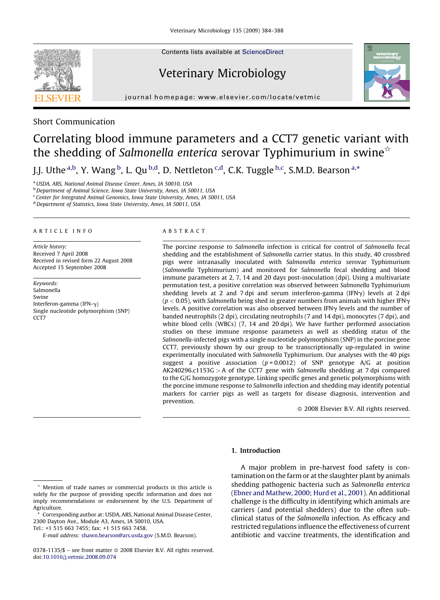Contents lists available at [ScienceDirect](http://www.sciencedirect.com/science/journal/03781135)

## Veterinary Microbiology



journal homepage: www.elsevier.com/locate/vetmic

Short Communication

# Correlating blood immune parameters and a CCT7 genetic variant with the shedding of Salmonella enterica serovar Typhimurium in swine $\dot{\alpha}$

J.J. Uthe <sup>a,b</sup>, Y. Wang <sup>b</sup>, L. Qu <sup>b,d</sup>, D. Nettleton <sup>c,d</sup>, C.K. Tuggle <sup>b,c</sup>, S.M.D. Bearson <sup>a,\*</sup>

<sup>a</sup> USDA, ARS, National Animal Disease Center, Ames, IA 50010, USA

**b** Department of Animal Science, Iowa State University, Ames, IA 50011, USA

<sup>c</sup> Center for Integrated Animal Genomics, Iowa State University, Ames, IA 50011, USA

<sup>d</sup> Department of Statistics, Iowa State University, Ames, IA 50011, USA

#### ARTICLE INFO

Article history: Received 7 April 2008 Received in revised form 22 August 2008 Accepted 15 September 2008

Keywords: Salmonella Swine Interferon-gamma (IFN-g) Single nucleotide polymorphism (SNP) CCT<sub>7</sub>

#### ABSTRACT

The porcine response to Salmonella infection is critical for control of Salmonella fecal shedding and the establishment of Salmonella carrier status. In this study, 40 crossbred pigs were intranasally inoculated with Salmonella enterica serovar Typhimurium (Salmonella Typhimurium) and monitored for Salmonella fecal shedding and blood immune parameters at 2, 7, 14 and 20 days post-inoculation (dpi). Using a multivariate permutation test, a positive correlation was observed between Salmonella Typhimurium shedding levels at 2 and 7 dpi and serum interferon-gamma (IFN $\gamma$ ) levels at 2 dpi  $(p < 0.05)$ , with Salmonella being shed in greater numbers from animals with higher IFN $\gamma$ levels. A positive correlation was also observed between IFN $\gamma$  levels and the number of banded neutrophils (2 dpi), circulating neutrophils (7 and 14 dpi), monocytes (7 dpi), and white blood cells (WBCs)  $(7, 14$  and 20 dpi). We have further performed association studies on these immune response parameters as well as shedding status of the Salmonella-infected pigs with a single nucleotide polymorphism (SNP) in the porcine gene CCT7, previously shown by our group to be transcriptionally up-regulated in swine experimentally inoculated with Salmonella Typhimurium. Our analyses with the 40 pigs suggest a positive association ( $p = 0.0012$ ) of SNP genotype A/G at position  $AK240296.c1153G > A$  of the CCT7 gene with Salmonella shedding at 7 dpi compared to the G/G homozygote genotype. Linking specific genes and genetic polymorphisms with the porcine immune response to Salmonella infection and shedding may identify potential markers for carrier pigs as well as targets for disease diagnosis, intervention and prevention.

 $\odot$  2008 Elsevier B.V. All rights reserved.

#### 1. Introduction

Tel.: +1 515 663 7455; fax: +1 515 663 7458.

A major problem in pre-harvest food safety is contamination on the farm or at the slaughter plant by animals shedding pathogenic bacteria such as Salmonella enterica [\(Ebner and Mathew, 2000; Hurd et al., 2001\)](#page-4-0). An additional challenge is the difficulty in identifying which animals are carriers (and potential shedders) due to the often subclinical status of the Salmonella infection. As efficacy and restricted regulations influence the effectiveness of current antibiotic and vaccine treatments, the identification and



<sup>§</sup> Mention of trade names or commercial products in this article is solely for the purpose of providing specific information and does not imply recommendations or endorsement by the U.S. Department of Agriculture.

 $*$  Corresponding author at: USDA, ARS, National Animal Disease Center, 2300 Dayton Ave., Module A3, Ames, IA 50010, USA.

E-mail address: [shawn.bearson@ars.usda.gov](mailto:shawn.bearson@ars.usda.gov) (S.M.D. Bearson).

<sup>0378-1135/\$ –</sup> see front matter © 2008 Elsevier B.V. All rights reserved. doi[:10.1016/j.vetmic.2008.09.074](http://dx.doi.org/10.1016/j.vetmic.2008.09.074)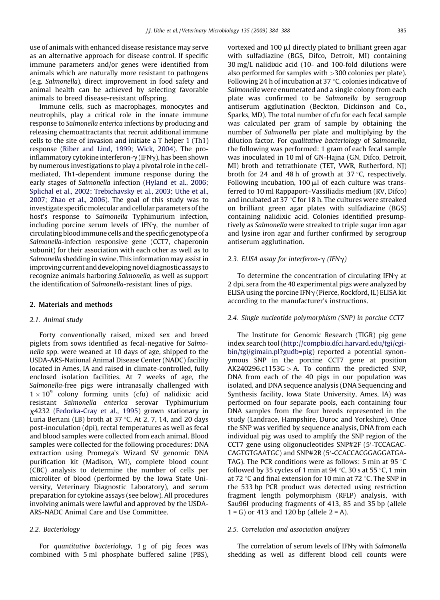use of animals with enhanced disease resistance may serve as an alternative approach for disease control. If specific immune parameters and/or genes were identified from animals which are naturally more resistant to pathogens (e.g. Salmonella), direct improvement in food safety and animal health can be achieved by selecting favorable animals to breed disease-resistant offspring.

Immune cells, such as macrophages, monocytes and neutrophils, play a critical role in the innate immune response to Salmonella enterica infections by producing and releasing chemoattractants that recruit additional immune cells to the site of invasion and initiate a T helper 1 (Th1) response ([Riber and Lind, 1999; Wick, 2004](#page-4-0)). The proinflammatory cytokine interferon- $\gamma$  (IFN $\gamma$ ), has been shown by numerous investigations to play a pivotal role in the cellmediated, Th1-dependent immune response during the early stages of Salmonella infection [\(Hyland et al., 2006;](#page-4-0) [Splichal et al., 2002; Trebichavsky et al., 2003; Uthe et al.,](#page-4-0) [2007; Zhao et al., 2006\)](#page-4-0). The goal of this study was to investigate specific molecular and cellular parameters of the host's response to Salmonella Typhimurium infection, including porcine serum levels of IFN $\gamma$ , the number of circulating blood immune cells and the specific genotype of a Salmonella-infection responsive gene (CCT7, chaperonin subunit) for their association with each other as well as to Salmonella shedding in swine. This information may assist in improvingcurrent and developing novel diagnostic assays to recognize animals harboring Salmonella, as well as support the identification of Salmonella-resistant lines of pigs.

### 2. Materials and methods

#### 2.1. Animal study

Forty conventionally raised, mixed sex and breed piglets from sows identified as fecal-negative for Salmonella spp. were weaned at 10 days of age, shipped to the USDA-ARS-National Animal Disease Center (NADC) facility located in Ames, IA and raised in climate-controlled, fully enclosed isolation facilities. At 7 weeks of age, the Salmonella-free pigs were intranasally challenged with  $1 \times 10^9$  colony forming units (cfu) of nalidixic acid resistant Salmonella enterica serovar Typhimurium x4232 [\(Fedorka-Cray et al., 1995\)](#page-4-0) grown stationary in Luria Bertani (LB) broth at 37  $\degree$ C. At 2, 7, 14, and 20 days post-inoculation (dpi), rectal temperatures as well as fecal and blood samples were collected from each animal. Blood samples were collected for the following procedures: DNA extraction using Promega's Wizard SV genomic DNA purification kit (Madison, WI), complete blood count (CBC) analysis to determine the number of cells per microliter of blood (performed by the Iowa State University, Veterinary Diagnostic Laboratory), and serum preparation for cytokine assays (see below). All procedures involving animals were lawful and approved by the USDA-ARS-NADC Animal Care and Use Committee.

#### 2.2. Bacteriology

For quantitative bacteriology, 1 g of pig feces was combined with 5 ml phosphate buffered saline (PBS), vortexed and  $100 \mu l$  directly plated to brilliant green agar with sulfadiazine (BGS, Difco, Detroit, MI) containing 30 mg/L nalidixic acid (10- and 100-fold dilutions were also performed for samples with >300 colonies per plate). Following 24 h of incubation at 37  $\degree$ C, colonies indicative of Salmonella were enumerated and a single colony from each plate was confirmed to be Salmonella by serogroup antiserum agglutination (Beckton, Dickinson and Co., Sparks, MD). The total number of cfu for each fecal sample was calculated per gram of sample by obtaining the number of Salmonella per plate and multiplying by the dilution factor. For qualitative bacteriology of Salmonella, the following was performed: 1 gram of each fecal sample was inoculated in 10 ml of GN-Hajna (GN, Difco, Detroit, MI) broth and tetrathionate (TET, VWR, Rutherford, NJ) broth for 24 and 48 h of growth at  $37^{\circ}$ C, respectively. Following incubation, 100  $\mu$ l of each culture was transferred to 10 ml Rappaport–Vassiliadis medium (RV, Difco) and incubated at 37  $\degree$ C for 18 h. The cultures were streaked on brilliant green agar plates with sulfadiazine (BGS) containing nalidixic acid. Colonies identified presumptively as Salmonella were streaked to triple sugar iron agar and lysine iron agar and further confirmed by serogroup antiserum agglutination.

#### 2.3. ELISA assay for interferon- $\gamma$  (IFN $\gamma$ )

To determine the concentration of circulating IFN $\gamma$  at 2 dpi, sera from the 40 experimental pigs were analyzed by ELISA using the porcine IFN $\gamma$  (Pierce, Rockford, IL) ELISA kit according to the manufacturer's instructions.

#### 2.4. Single nucleotide polymorphism (SNP) in porcine CCT7

The Institute for Genomic Research (TIGR) pig gene index search tool ([http://compbio.dfci.harvard.edu/tgi/cgi](http://compbio.dfci.harvard.edu/tgi/cgi-bin/tgi/gimain.pl?gudb=pig)[bin/tgi/gimain.pl?gudb=pig](http://compbio.dfci.harvard.edu/tgi/cgi-bin/tgi/gimain.pl?gudb=pig)) reported a potential synonymous SNP in the porcine CCT7 gene at position  $AK240296.c1153G > A$ . To confirm the predicted SNP, DNA from each of the 40 pigs in our population was isolated, and DNA sequence analysis (DNA Sequencing and Synthesis facility, Iowa State University, Ames, IA) was performed on four separate pools, each containing four DNA samples from the four breeds represented in the study (Landrace, Hampshire, Duroc and Yorkshire). Once the SNP was verified by sequence analysis, DNA from each individual pig was used to amplify the SNP region of the CCT7 gene using oligonucleotides SNP#2F (5'-TCCAGAC-CAGTGTGAATGC) and SNP#2R (5'-CCACCACGGAGGATGA-TAG). The PCR conditions were as follows: 5 min at 95  $\degree$ C followed by 35 cycles of 1 min at 94  $\degree$ C, 30 s at 55  $\degree$ C, 1 min at 72  $\degree$ C and final extension for 10 min at 72  $\degree$ C. The SNP in the 533 bp PCR product was detected using restriction fragment length polymorphism (RFLP) analysis, with Sau96I producing fragments of 413, 85 and 35 bp (allele  $1 = G$ ) or 413 and 120 bp (allele  $2 = A$ ).

#### 2.5. Correlation and association analyses

The correlation of serum levels of IFN $\gamma$  with Salmonella shedding as well as different blood cell counts were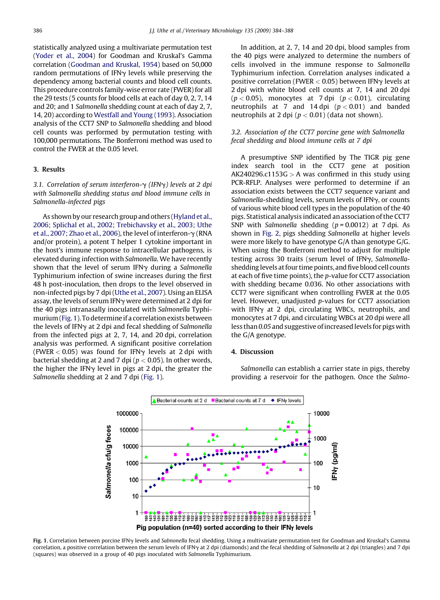statistically analyzed using a multivariate permutation test [\(Yoder et al., 2004\)](#page-4-0) for Goodman and Kruskal's Gamma correlation ([Goodman and Kruskal, 1954\)](#page-4-0) based on 50,000 random permutations of IFN $\gamma$  levels while preserving the dependency among bacterial counts and blood cell counts. This procedure controls family-wise error rate (FWER) for all the 29 tests (5 counts for blood cells at each of day 0, 2, 7, 14 and 20; and 1 Salmonella shedding count at each of day 2, 7, 14, 20) according to [Westfall and Young \(1993\).](#page-4-0) Association analysis of the CCT7 SNP to Salmonella shedding and blood cell counts was performed by permutation testing with 100,000 permutations. The Bonferroni method was used to control the FWER at the 0.05 level.

#### 3. Results

3.1. Correlation of serum interferon- $\gamma$  (IFN $\gamma$ ) levels at 2 dpi with Salmonella shedding status and blood immune cells in Salmonella-infected pigs

As shown by our research group and others ([Hyland et al.,](#page-4-0) [2006; Splichal et al., 2002; Trebichavsky et al., 2003; Uthe](#page-4-0) [et al., 2007; Zhao et al., 2006\)](#page-4-0), the level of interferon- $\gamma$  (RNA and/or protein), a potent T helper 1 cytokine important in the host's immune response to intracellular pathogens, is elevated during infection with Salmonella. We have recently shown that the level of serum IFN $\gamma$  during a Salmonella Typhimurium infection of swine increases during the first 48 h post-inoculation, then drops to the level observed in non-infected pigs by 7 dpi [\(Uthe et al., 2007](#page-4-0)). Using an ELISA assay, the levels of serum IFN $\gamma$  were determined at 2 dpi for the 40 pigs intranasally inoculated with Salmonella Typhimurium (Fig. 1). To determine if a correlation exists between the levels of IFN $\gamma$  at 2 dpi and fecal shedding of Salmonella from the infected pigs at 2, 7, 14, and 20 dpi, correlation analysis was performed. A significant positive correlation (FWER  $< 0.05$ ) was found for IFN $\gamma$  levels at 2 dpi with bacterial shedding at 2 and 7 dpi ( $p < 0.05$ ). In other words, the higher the IFN $\gamma$  level in pigs at 2 dpi, the greater the Salmonella shedding at 2 and 7 dpi (Fig. 1).

In addition, at 2, 7, 14 and 20 dpi, blood samples from the 40 pigs were analyzed to determine the numbers of cells involved in the immune response to Salmonella Typhimurium infection. Correlation analyses indicated a positive correlation (FWER  $< 0.05$ ) between IFN $\gamma$  levels at 2 dpi with white blood cell counts at 7, 14 and 20 dpi  $(p < 0.05)$ , monocytes at 7 dpi  $(p < 0.01)$ , circulating neutrophils at 7 and 14 dpi  $(p < 0.01)$  and banded neutrophils at 2 dpi ( $p < 0.01$ ) (data not shown).

#### 3.2. Association of the CCT7 porcine gene with Salmonella fecal shedding and blood immune cells at 7 dpi

A presumptive SNP identified by The TIGR pig gene index search tool in the CCT7 gene at position  $AK240296.c1153G > A$  was confirmed in this study using PCR-RFLP. Analyses were performed to determine if an association exists between the CCT7 sequence variant and Salmonella-shedding levels, serum levels of IFN $\gamma$ , or counts of various white blood cell types in the population of the 40 pigs. Statistical analysis indicated an association of the CCT7 SNP with Salmonella shedding  $(p = 0.0012)$  at 7 dpi. As shown in [Fig. 2](#page-3-0), pigs shedding Salmonella at higher levels were more likely to have genotype G/A than genotype G/G. When using the Bonferroni method to adjust for multiple testing across 30 traits (serum level of IFNy, Salmonellashedding levels at four time points, and five blood cell counts at each of five time points), the p-value for CCT7 association with shedding became 0.036. No other associations with CCT7 were significant when controlling FWER at the 0.05 level. However, unadjusted p-values for CCT7 association with IFN $\gamma$  at 2 dpi, circulating WBCs, neutrophils, and monocytes at 7 dpi, and circulating WBCs at 20 dpi were all less than 0.05 and suggestive of increased levels for pigs with the G/A genotype.

#### 4. Discussion

Salmonella can establish a carrier state in pigs, thereby providing a reservoir for the pathogen. Once the Salmo-



Fig. 1. Correlation between porcine IFNy levels and Salmonella fecal shedding. Using a multivariate permutation test for Goodman and Kruskal's Gamma correlation, a positive correlation between the serum levels of IFN<sub>Y</sub> at 2 dpi (diamonds) and the fecal shedding of Salmonella at 2 dpi (triangles) and 7 dpi (squares) was observed in a group of 40 pigs inoculated with Salmonella Typhimurium.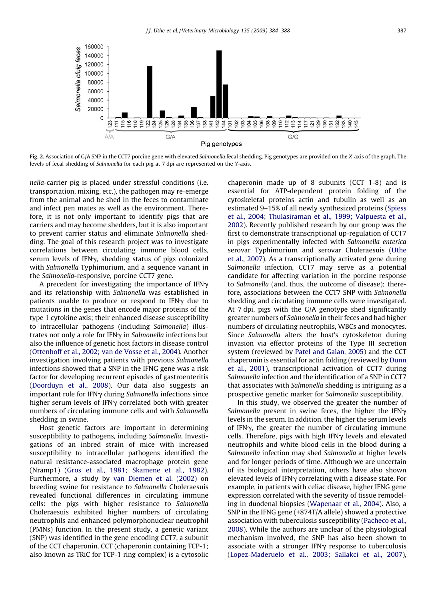<span id="page-3-0"></span>

Fig. 2. Association of G/A SNP in the CCT7 porcine gene with elevated Salmonella fecal shedding. Pig genotypes are provided on the X-axis of the graph. The levels of fecal shedding of Salmonella for each pig at 7 dpi are represented on the Y-axis.

nella-carrier pig is placed under stressful conditions (i.e. transportation, mixing, etc.), the pathogen may re-emerge from the animal and be shed in the feces to contaminate and infect pen mates as well as the environment. Therefore, it is not only important to identify pigs that are carriers and may become shedders, but it is also important to prevent carrier status and eliminate Salmonella shedding. The goal of this research project was to investigate correlations between circulating immune blood cells, serum levels of IFNy, shedding status of pigs colonized with Salmonella Typhimurium, and a sequence variant in the Salmonella-responsive, porcine CCT7 gene.

A precedent for investigating the importance of IFN $\gamma$ and its relationship with Salmonella was established in patients unable to produce or respond to IFN $\gamma$  due to mutations in the genes that encode major proteins of the type 1 cytokine axis; their enhanced disease susceptibility to intracellular pathogens (including Salmonella) illustrates not only a role for IFN $\gamma$  in Salmonella infections but also the influence of genetic host factors in disease control ([Ottenhoff et al., 2002; van de Vosse et al., 2004\)](#page-4-0). Another investigation involving patients with previous Salmonella infections showed that a SNP in the IFNG gene was a risk factor for developing recurrent episodes of gastroenteritis ([Doorduyn et al., 2008\)](#page-4-0). Our data also suggests an important role for IFN $\gamma$  during Salmonella infections since higher serum levels of IFN $\gamma$  correlated both with greater numbers of circulating immune cells and with Salmonella shedding in swine.

Host genetic factors are important in determining susceptibility to pathogens, including Salmonella. Investigations of an inbred strain of mice with increased susceptibility to intracellular pathogens identified the natural resistance-associated macrophage protein gene (Nramp1) [\(Gros et al., 1981; Skamene et al., 1982](#page-4-0)). Furthermore, a study by [van Diemen et al. \(2002\)](#page-4-0) on breeding swine for resistance to Salmonella Choleraesuis revealed functional differences in circulating immune cells: the pigs with higher resistance to Salmonella Choleraesuis exhibited higher numbers of circulating neutrophils and enhanced polymorphonuclear neutrophil (PMNs) function. In the present study, a genetic variant (SNP) was identified in the gene encoding CCT7, a subunit of the CCT chaperonin. CCT (chaperonin containing TCP-1; also known as TRiC for TCP-1 ring complex) is a cytosolic chaperonin made up of 8 subunits (CCT 1-8) and is essential for ATP-dependent protein folding of the cytoskeletal proteins actin and tubulin as well as an estimated 9–15% of all newly synthesized proteins ([Spiess](#page-4-0) [et al., 2004; Thulasiraman et al., 1999; Valpuesta et al.,](#page-4-0) [2002](#page-4-0)). Recently published research by our group was the first to demonstrate transcriptional up-regulation of CCT7 in pigs experimentally infected with Salmonella enterica serovar Typhimurium and serovar Choleraesuis ([Uthe](#page-4-0) [et al., 2007](#page-4-0)). As a transcriptionally activated gene during Salmonella infection, CCT7 may serve as a potential candidate for affecting variation in the porcine response to Salmonella (and, thus, the outcome of disease); therefore, associations between the CCT7 SNP with Salmonella shedding and circulating immune cells were investigated. At 7 dpi, pigs with the G/A genotype shed significantly greater numbers of Salmonella in their feces and had higher numbers of circulating neutrophils, WBCs and monocytes. Since Salmonella alters the host's cytoskeleton during invasion via effector proteins of the Type III secretion system (reviewed by [Patel and Galan, 2005](#page-4-0)) and the CCT chaperonin is essential for actin folding (reviewed by [Dunn](#page-4-0) [et al., 2001](#page-4-0)), transcriptional activation of CCT7 during Salmonella infection and the identification of a SNP in CCT7 that associates with Salmonella shedding is intriguing as a prospective genetic marker for Salmonella susceptibility.

In this study, we observed the greater the number of Salmonella present in swine feces, the higher the IFN $\gamma$ levels in the serum. In addition, the higher the serum levels of IFNg, the greater the number of circulating immune cells. Therefore, pigs with high IFN $\gamma$  levels and elevated neutrophils and white blood cells in the blood during a Salmonella infection may shed Salmonella at higher levels and for longer periods of time. Although we are uncertain of its biological interpretation, others have also shown elevated levels of IFN $\gamma$  correlating with a disease state. For example, in patients with celiac disease, higher IFNG gene expression correlated with the severity of tissue remodeling in duodenal biopsies ([Wapenaar et al., 2004](#page-4-0)). Also, a SNP in the IFNG gene (+874T/A allele) showed a protective association with tuberculosis susceptibility [\(Pacheco et al.,](#page-4-0) [2008](#page-4-0)). While the authors are unclear of the physiological mechanism involved, the SNP has also been shown to associate with a stronger IFN $\gamma$  response to tuberculosis [\(Lopez-Maderuelo et al., 2003; Sallakci et al., 2007](#page-4-0)),